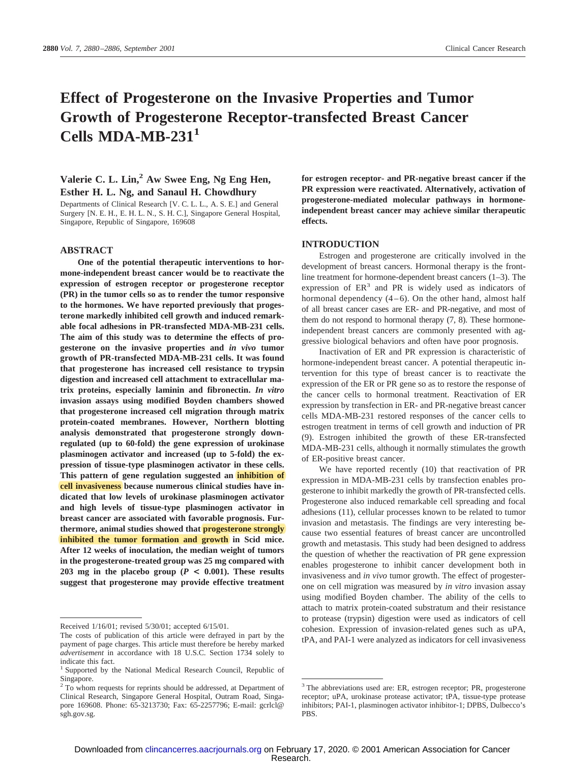## **Effect of Progesterone on the Invasive Properties and Tumor Growth of Progesterone Receptor-transfected Breast Cancer Cells MDA-MB-2311**

### **Valerie C. L. Lin,2 Aw Swee Eng, Ng Eng Hen, Esther H. L. Ng, and Sanaul H. Chowdhury**

Departments of Clinical Research [V. C. L. L., A. S. E.] and General Surgery [N. E. H., E. H. L. N., S. H. C.], Singapore General Hospital, Singapore, Republic of Singapore, 169608

#### **ABSTRACT**

**One of the potential therapeutic interventions to hormone-independent breast cancer would be to reactivate the expression of estrogen receptor or progesterone receptor (PR) in the tumor cells so as to render the tumor responsive to the hormones. We have reported previously that progesterone markedly inhibited cell growth and induced remarkable focal adhesions in PR-transfected MDA-MB-231 cells. The aim of this study was to determine the effects of progesterone on the invasive properties and** *in vivo* **tumor growth of PR-transfected MDA-MB-231 cells. It was found that progesterone has increased cell resistance to trypsin digestion and increased cell attachment to extracellular matrix proteins, especially laminin and fibronectin.** *In vitro* **invasion assays using modified Boyden chambers showed that progesterone increased cell migration through matrix protein-coated membranes. However, Northern blotting analysis demonstrated that progesterone strongly downregulated (up to 60-fold) the gene expression of urokinase plasminogen activator and increased (up to 5-fold) the expression of tissue-type plasminogen activator in these cells. This pattern of gene regulation suggested an inhibition of cell invasiveness because numerous clinical studies have indicated that low levels of urokinase plasminogen activator and high levels of tissue-type plasminogen activator in breast cancer are associated with favorable prognosis. Furthermore, animal studies showed that progesterone strongly inhibited the tumor formation and growth in Scid mice. After 12 weeks of inoculation, the median weight of tumors in the progesterone-treated group was 25 mg compared with 203** mg in the placebo group ( $P < 0.001$ ). These results **suggest that progesterone may provide effective treatment**

**for estrogen receptor- and PR-negative breast cancer if the PR expression were reactivated. Alternatively, activation of progesterone-mediated molecular pathways in hormoneindependent breast cancer may achieve similar therapeutic effects.**

#### **INTRODUCTION**

Estrogen and progesterone are critically involved in the development of breast cancers. Hormonal therapy is the frontline treatment for hormone-dependent breast cancers (1–3). The expression of  $ER<sup>3</sup>$  and PR is widely used as indicators of hormonal dependency  $(4-6)$ . On the other hand, almost half of all breast cancer cases are ER- and PR-negative, and most of them do not respond to hormonal therapy (7, 8). These hormoneindependent breast cancers are commonly presented with aggressive biological behaviors and often have poor prognosis.

Inactivation of ER and PR expression is characteristic of hormone-independent breast cancer. A potential therapeutic intervention for this type of breast cancer is to reactivate the expression of the ER or PR gene so as to restore the response of the cancer cells to hormonal treatment. Reactivation of ER expression by transfection in ER- and PR-negative breast cancer cells MDA-MB-231 restored responses of the cancer cells to estrogen treatment in terms of cell growth and induction of PR (9). Estrogen inhibited the growth of these ER-transfected MDA-MB-231 cells, although it normally stimulates the growth of ER-positive breast cancer.

We have reported recently (10) that reactivation of PR expression in MDA-MB-231 cells by transfection enables progesterone to inhibit markedly the growth of PR-transfected cells. Progesterone also induced remarkable cell spreading and focal adhesions (11), cellular processes known to be related to tumor invasion and metastasis. The findings are very interesting because two essential features of breast cancer are uncontrolled growth and metastasis. This study had been designed to address the question of whether the reactivation of PR gene expression enables progesterone to inhibit cancer development both in invasiveness and *in vivo* tumor growth. The effect of progesterone on cell migration was measured by *in vitro* invasion assay using modified Boyden chamber. The ability of the cells to attach to matrix protein-coated substratum and their resistance to protease (trypsin) digestion were used as indicators of cell cohesion. Expression of invasion-related genes such as uPA, tPA, and PAI-1 were analyzed as indicators for cell invasiveness

Received 1/16/01; revised 5/30/01; accepted 6/15/01.

The costs of publication of this article were defrayed in part by the payment of page charges. This article must therefore be hereby marked *advertisement* in accordance with 18 U.S.C. Section 1734 solely to indicate this fact.

<sup>&</sup>lt;sup>1</sup> Supported by the National Medical Research Council, Republic of Singapore.

 $2^2$  To whom requests for reprints should be addressed, at Department of Clinical Research, Singapore General Hospital, Outram Road, Singapore 169608. Phone: 65-3213730; Fax: 65-2257796; E-mail: gcrlcl@ sgh.gov.sg.

<sup>&</sup>lt;sup>3</sup> The abbreviations used are: ER, estrogen receptor; PR, progesterone receptor; uPA, urokinase protease activator; tPA, tissue-type protease inhibitors; PAI-1, plasminogen activator inhibitor-1; DPBS, Dulbecco's PBS.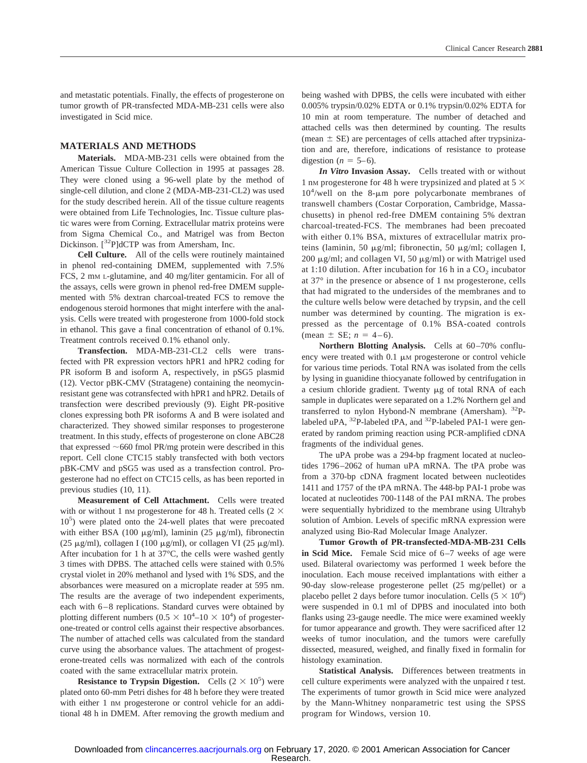and metastatic potentials. Finally, the effects of progesterone on tumor growth of PR-transfected MDA-MB-231 cells were also investigated in Scid mice.

#### **MATERIALS AND METHODS**

**Materials.** MDA-MB-231 cells were obtained from the American Tissue Culture Collection in 1995 at passages 28. They were cloned using a 96-well plate by the method of single-cell dilution, and clone 2 (MDA-MB-231-CL2) was used for the study described herein. All of the tissue culture reagents were obtained from Life Technologies, Inc. Tissue culture plastic wares were from Corning. Extracellular matrix proteins were from Sigma Chemical Co., and Matrigel was from Becton Dickinson. [<sup>32</sup>P]dCTP was from Amersham, Inc.

**Cell Culture.** All of the cells were routinely maintained in phenol red-containing DMEM, supplemented with 7.5% FCS, 2 mm L-glutamine, and 40 mg/liter gentamicin. For all of the assays, cells were grown in phenol red-free DMEM supplemented with 5% dextran charcoal-treated FCS to remove the endogenous steroid hormones that might interfere with the analysis. Cells were treated with progesterone from 1000-fold stock in ethanol. This gave a final concentration of ethanol of 0.1%. Treatment controls received 0.1% ethanol only.

**Transfection.** MDA-MB-231-CL2 cells were transfected with PR expression vectors hPR1 and hPR2 coding for PR isoform B and isoform A, respectively, in pSG5 plasmid (12). Vector pBK-CMV (Stratagene) containing the neomycinresistant gene was cotransfected with hPR1 and hPR2. Details of transfection were described previously (9). Eight PR-positive clones expressing both PR isoforms A and B were isolated and characterized. They showed similar responses to progesterone treatment. In this study, effects of progesterone on clone ABC28 that expressed  $\sim$  660 fmol PR/mg protein were described in this report. Cell clone CTC15 stably transfected with both vectors pBK-CMV and pSG5 was used as a transfection control. Progesterone had no effect on CTC15 cells, as has been reported in previous studies (10, 11).

**Measurement of Cell Attachment.** Cells were treated with or without 1 nm progesterone for 48 h. Treated cells (2  $\times$ 105 ) were plated onto the 24-well plates that were precoated with either BSA (100  $\mu$ g/ml), laminin (25  $\mu$ g/ml), fibronectin (25  $\mu$ g/ml), collagen I (100  $\mu$ g/ml), or collagen VI (25  $\mu$ g/ml). After incubation for 1 h at 37°C, the cells were washed gently 3 times with DPBS. The attached cells were stained with 0.5% crystal violet in 20% methanol and lysed with 1% SDS, and the absorbances were measured on a microplate reader at 595 nm. The results are the average of two independent experiments, each with 6–8 replications. Standard curves were obtained by plotting different numbers  $(0.5 \times 10^4$ – $10 \times 10^4)$  of progesterone-treated or control cells against their respective absorbances. The number of attached cells was calculated from the standard curve using the absorbance values. The attachment of progesterone-treated cells was normalized with each of the controls coated with the same extracellular matrix protein.

**Resistance to Trypsin Digestion.** Cells  $(2 \times 10^5)$  were plated onto 60-mm Petri dishes for 48 h before they were treated with either 1 nm progesterone or control vehicle for an additional 48 h in DMEM. After removing the growth medium and

being washed with DPBS, the cells were incubated with either 0.005% trypsin/0.02% EDTA or 0.1% trypsin/0.02% EDTA for 10 min at room temperature. The number of detached and attached cells was then determined by counting. The results (mean  $\pm$  SE) are percentages of cells attached after trypsinization and are, therefore, indications of resistance to protease digestion ( $n = 5-6$ ).

*In Vitro* **Invasion Assay.** Cells treated with or without 1 nm progesterone for 48 h were trypsinized and plated at 5  $\times$  $10<sup>4</sup>/well$  on the 8- $\mu$ m pore polycarbonate membranes of transwell chambers (Costar Corporation, Cambridge, Massachusetts) in phenol red-free DMEM containing 5% dextran charcoal-treated-FCS. The membranes had been precoated with either 0.1% BSA, mixtures of extracellular matrix proteins (laminin, 50  $\mu$ g/ml; fibronectin, 50  $\mu$ g/ml; collagen I, 200  $\mu$ g/ml; and collagen VI, 50  $\mu$ g/ml) or with Matrigel used at 1:10 dilution. After incubation for 16 h in a  $CO<sub>2</sub>$  incubator at 37° in the presence or absence of 1 nM progesterone, cells that had migrated to the undersides of the membranes and to the culture wells below were detached by trypsin, and the cell number was determined by counting. The migration is expressed as the percentage of 0.1% BSA-coated controls (mean  $\pm$  SE;  $n = 4-6$ ).

**Northern Blotting Analysis.** Cells at 60–70% confluency were treated with  $0.1 \mu$ M progesterone or control vehicle for various time periods. Total RNA was isolated from the cells by lysing in guanidine thiocyanate followed by centrifugation in a cesium chloride gradient. Twenty  $\mu$ g of total RNA of each sample in duplicates were separated on a 1.2% Northern gel and transferred to nylon Hybond-N membrane (Amersham). 32Plabeled uPA, <sup>32</sup>P-labeled tPA, and <sup>32</sup>P-labeled PAI-1 were generated by random priming reaction using PCR-amplified cDNA fragments of the individual genes.

The uPA probe was a 294-bp fragment located at nucleotides 1796–2062 of human uPA mRNA. The tPA probe was from a 370-bp cDNA fragment located between nucleotides 1411 and 1757 of the tPA mRNA. The 448-bp PAI-1 probe was located at nucleotides 700-1148 of the PAI mRNA. The probes were sequentially hybridized to the membrane using Ultrahyb solution of Ambion. Levels of specific mRNA expression were analyzed using Bio-Rad Molecular Image Analyzer.

**Tumor Growth of PR-transfected-MDA-MB-231 Cells in Scid Mice.** Female Scid mice of 6–7 weeks of age were used. Bilateral ovariectomy was performed 1 week before the inoculation. Each mouse received implantations with either a 90-day slow-release progesterone pellet (25 mg/pellet) or a placebo pellet 2 days before tumor inoculation. Cells  $(5 \times 10^6)$ were suspended in 0.1 ml of DPBS and inoculated into both flanks using 23-gauge needle. The mice were examined weekly for tumor appearance and growth. They were sacrificed after 12 weeks of tumor inoculation, and the tumors were carefully dissected, measured, weighed, and finally fixed in formalin for histology examination.

**Statistical Analysis.** Differences between treatments in cell culture experiments were analyzed with the unpaired *t* test. The experiments of tumor growth in Scid mice were analyzed by the Mann-Whitney nonparametric test using the SPSS program for Windows, version 10.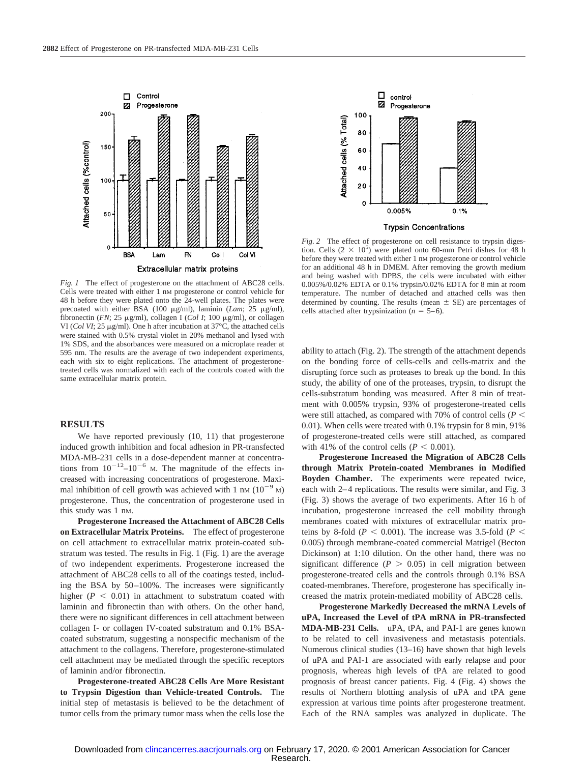

*Fig. 1* The effect of progesterone on the attachment of ABC28 cells. Cells were treated with either 1 nM progesterone or control vehicle for 48 h before they were plated onto the 24-well plates. The plates were precoated with either BSA (100 µg/ml), laminin (*Lam*; 25 µg/ml), fibronectin (*FN*; 25  $\mu$ g/ml), collagen I (*Col I*; 100  $\mu$ g/ml), or collagen VI (*Col VI*; 25  $\mu$ g/ml). One h after incubation at 37 $\degree$ C, the attached cells were stained with 0.5% crystal violet in 20% methanol and lysed with 1% SDS, and the absorbances were measured on a microplate reader at 595 nm. The results are the average of two independent experiments, each with six to eight replications. The attachment of progesteronetreated cells was normalized with each of the controls coated with the same extracellular matrix protein.

#### **RESULTS**

We have reported previously (10, 11) that progesterone induced growth inhibition and focal adhesion in PR-transfected MDA-MB-231 cells in a dose-dependent manner at concentrations from  $10^{-12}$ – $10^{-6}$  M. The magnitude of the effects increased with increasing concentrations of progesterone. Maximal inhibition of cell growth was achieved with 1 nm  $(10^{-9}$  M) progesterone. Thus, the concentration of progesterone used in this study was 1 nM.

**Progesterone Increased the Attachment of ABC28 Cells on Extracellular Matrix Proteins.** The effect of progesterone on cell attachment to extracellular matrix protein-coated substratum was tested. The results in Fig. 1 (Fig. 1) are the average of two independent experiments. Progesterone increased the attachment of ABC28 cells to all of the coatings tested, including the BSA by 50–100%. The increases were significantly higher  $(P < 0.01)$  in attachment to substratum coated with laminin and fibronectin than with others. On the other hand, there were no significant differences in cell attachment between collagen I- or collagen IV-coated substratum and 0.1% BSAcoated substratum, suggesting a nonspecific mechanism of the attachment to the collagens. Therefore, progesterone-stimulated cell attachment may be mediated through the specific receptors of laminin and/or fibronectin.

**Progesterone-treated ABC28 Cells Are More Resistant to Trypsin Digestion than Vehicle-treated Controls.** The initial step of metastasis is believed to be the detachment of tumor cells from the primary tumor mass when the cells lose the



**Trypsin Concentrations** 

*Fig. 2* The effect of progesterone on cell resistance to trypsin digestion. Cells  $(2 \times 10^5)$  were plated onto 60-mm Petri dishes for 48 h before they were treated with either 1 nM progesterone or control vehicle for an additional 48 h in DMEM. After removing the growth medium and being washed with DPBS, the cells were incubated with either 0.005%/0.02% EDTA or 0.1% trypsin/0.02% EDTA for 8 min at room temperature. The number of detached and attached cells was then determined by counting. The results (mean  $\pm$  SE) are percentages of cells attached after trypsinization ( $n = 5-6$ ).

ability to attach (Fig. 2). The strength of the attachment depends on the bonding force of cells-cells and cells-matrix and the disrupting force such as proteases to break up the bond. In this study, the ability of one of the proteases, trypsin, to disrupt the cells-substratum bonding was measured. After 8 min of treatment with 0.005% trypsin, 93% of progesterone-treated cells were still attached, as compared with 70% of control cells (*P* 0.01). When cells were treated with 0.1% trypsin for 8 min, 91% of progesterone-treated cells were still attached, as compared with 41% of the control cells  $(P < 0.001)$ .

**Progesterone Increased the Migration of ABC28 Cells through Matrix Protein-coated Membranes in Modified Boyden Chamber.** The experiments were repeated twice, each with 2–4 replications. The results were similar, and Fig. 3 (Fig. 3) shows the average of two experiments. After 16 h of incubation, progesterone increased the cell mobility through membranes coated with mixtures of extracellular matrix proteins by 8-fold ( $P < 0.001$ ). The increase was 3.5-fold ( $P <$ 0.005) through membrane-coated commercial Matrigel (Becton Dickinson) at 1:10 dilution. On the other hand, there was no significant difference ( $P > 0.05$ ) in cell migration between progesterone-treated cells and the controls through 0.1% BSA coated-membranes. Therefore, progesterone has specifically increased the matrix protein-mediated mobility of ABC28 cells.

**Progesterone Markedly Decreased the mRNA Levels of uPA, Increased the Level of tPA mRNA in PR-transfected MDA-MB-231 Cells.** uPA, tPA, and PAI-1 are genes known to be related to cell invasiveness and metastasis potentials. Numerous clinical studies (13–16) have shown that high levels of uPA and PAI-1 are associated with early relapse and poor prognosis, whereas high levels of tPA are related to good prognosis of breast cancer patients. Fig. 4 (Fig. 4) shows the results of Northern blotting analysis of uPA and tPA gene expression at various time points after progesterone treatment. Each of the RNA samples was analyzed in duplicate. The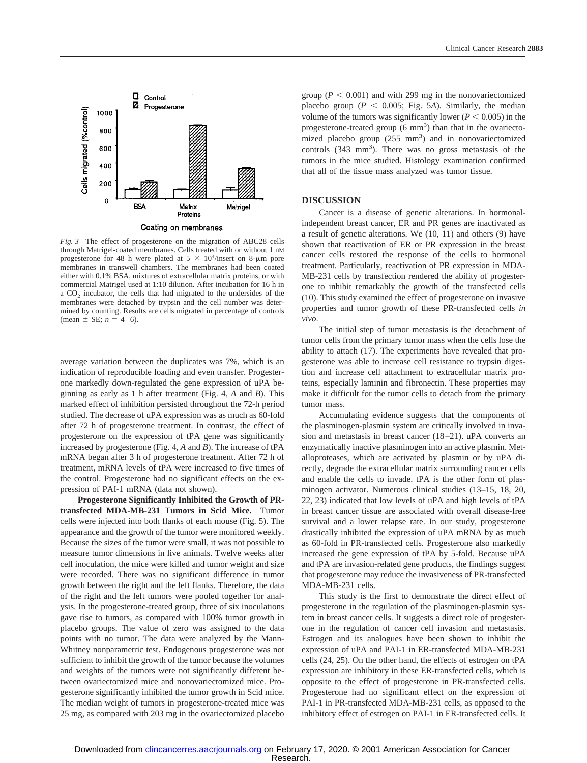

*Fig. 3* The effect of progesterone on the migration of ABC28 cells through Matrigel-coated membranes. Cells treated with or without 1 nM progesterone for 48 h were plated at  $5 \times 10^4$ /insert on 8-µm pore membranes in transwell chambers. The membranes had been coated either with 0.1% BSA, mixtures of extracellular matrix proteins, or with commercial Matrigel used at 1:10 dilution. After incubation for 16 h in a CO<sub>2</sub> incubator, the cells that had migrated to the undersides of the membranes were detached by trypsin and the cell number was determined by counting. Results are cells migrated in percentage of controls (mean  $\pm$  SE;  $n = 4-6$ ).

average variation between the duplicates was 7%, which is an indication of reproducible loading and even transfer. Progesterone markedly down-regulated the gene expression of uPA beginning as early as 1 h after treatment (Fig. 4, *A* and *B*). This marked effect of inhibition persisted throughout the 72-h period studied. The decrease of uPA expression was as much as 60-fold after 72 h of progesterone treatment. In contrast, the effect of progesterone on the expression of tPA gene was significantly increased by progesterone (Fig. 4, *A* and *B*). The increase of tPA mRNA began after 3 h of progesterone treatment. After 72 h of treatment, mRNA levels of tPA were increased to five times of the control. Progesterone had no significant effects on the expression of PAI-1 mRNA (data not shown).

**Progesterone Significantly Inhibited the Growth of PRtransfected MDA-MB-231 Tumors in Scid Mice.** Tumor cells were injected into both flanks of each mouse (Fig. 5). The appearance and the growth of the tumor were monitored weekly. Because the sizes of the tumor were small, it was not possible to measure tumor dimensions in live animals. Twelve weeks after cell inoculation, the mice were killed and tumor weight and size were recorded. There was no significant difference in tumor growth between the right and the left flanks. Therefore, the data of the right and the left tumors were pooled together for analysis. In the progesterone-treated group, three of six inoculations gave rise to tumors, as compared with 100% tumor growth in placebo groups. The value of zero was assigned to the data points with no tumor. The data were analyzed by the Mann-Whitney nonparametric test. Endogenous progesterone was not sufficient to inhibit the growth of the tumor because the volumes and weights of the tumors were not significantly different between ovariectomized mice and nonovariectomized mice. Progesterone significantly inhibited the tumor growth in Scid mice. The median weight of tumors in progesterone-treated mice was 25 mg, as compared with 203 mg in the ovariectomized placebo group ( $P < 0.001$ ) and with 299 mg in the nonovariectomized placebo group ( $P \le 0.005$ ; Fig. 5*A*). Similarly, the median volume of the tumors was significantly lower ( $P < 0.005$ ) in the progesterone-treated group  $(6 \text{ mm}^3)$  than that in the ovariectomized placebo group (255 mm<sup>3</sup>) and in nonovariectomized controls (343 mm<sup>3</sup>). There was no gross metastasis of the tumors in the mice studied. Histology examination confirmed that all of the tissue mass analyzed was tumor tissue.

#### **DISCUSSION**

Cancer is a disease of genetic alterations. In hormonalindependent breast cancer, ER and PR genes are inactivated as a result of genetic alterations. We (10, 11) and others (9) have shown that reactivation of ER or PR expression in the breast cancer cells restored the response of the cells to hormonal treatment. Particularly, reactivation of PR expression in MDA-MB-231 cells by transfection rendered the ability of progesterone to inhibit remarkably the growth of the transfected cells (10). This study examined the effect of progesterone on invasive properties and tumor growth of these PR-transfected cells *in vivo*.

The initial step of tumor metastasis is the detachment of tumor cells from the primary tumor mass when the cells lose the ability to attach (17). The experiments have revealed that progesterone was able to increase cell resistance to trypsin digestion and increase cell attachment to extracellular matrix proteins, especially laminin and fibronectin. These properties may make it difficult for the tumor cells to detach from the primary tumor mass.

Accumulating evidence suggests that the components of the plasminogen-plasmin system are critically involved in invasion and metastasis in breast cancer (18–21). uPA converts an enzymatically inactive plasminogen into an active plasmin. Metalloproteases, which are activated by plasmin or by uPA directly, degrade the extracellular matrix surrounding cancer cells and enable the cells to invade. tPA is the other form of plasminogen activator. Numerous clinical studies (13–15, 18, 20, 22, 23) indicated that low levels of uPA and high levels of tPA in breast cancer tissue are associated with overall disease-free survival and a lower relapse rate. In our study, progesterone drastically inhibited the expression of uPA mRNA by as much as 60-fold in PR-transfected cells. Progesterone also markedly increased the gene expression of tPA by 5-fold. Because uPA and tPA are invasion-related gene products, the findings suggest that progesterone may reduce the invasiveness of PR-transfected MDA-MB-231 cells.

This study is the first to demonstrate the direct effect of progesterone in the regulation of the plasminogen-plasmin system in breast cancer cells. It suggests a direct role of progesterone in the regulation of cancer cell invasion and metastasis. Estrogen and its analogues have been shown to inhibit the expression of uPA and PAI-1 in ER-transfected MDA-MB-231 cells (24, 25). On the other hand, the effects of estrogen on tPA expression are inhibitory in these ER-transfected cells, which is opposite to the effect of progesterone in PR-transfected cells. Progesterone had no significant effect on the expression of PAI-1 in PR-transfected MDA-MB-231 cells, as opposed to the inhibitory effect of estrogen on PAI-1 in ER-transfected cells. It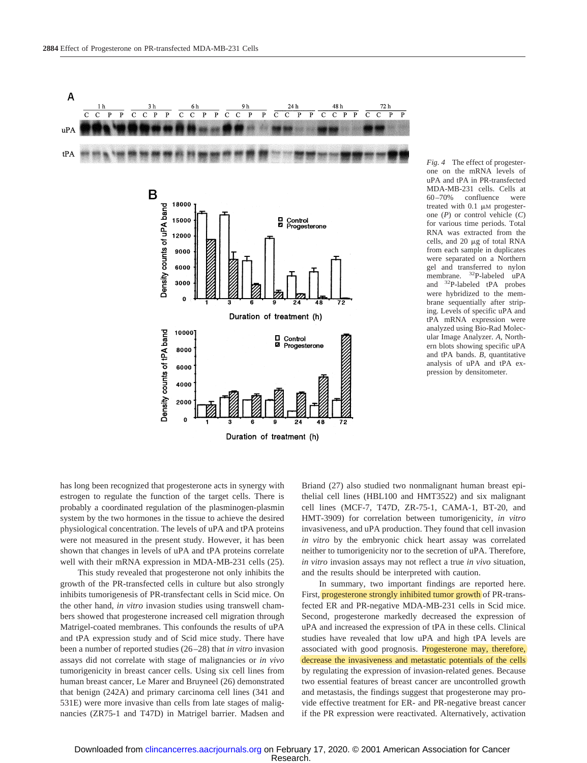

*Fig. 4* The effect of progesterone on the mRNA levels of uPA and tPA in PR-transfected MDA-MB-231 cells. Cells at 60–70% confluence were treated with  $0.1 \mu M$  progesterone (*P*) or control vehicle (*C*) for various time periods. Total RNA was extracted from the cells, and  $20 \mu$ g of total RNA from each sample in duplicates were separated on a Northern gel and transferred to nylon membrane. <sup>32</sup>P-labeled uPA and 32P-labeled tPA probes were hybridized to the membrane sequentially after striping. Levels of specific uPA and tPA mRNA expression were analyzed using Bio-Rad Molecular Image Analyzer. *A*, Northern blots showing specific uPA and tPA bands. *B*, quantitative analysis of uPA and tPA expression by densitometer.

has long been recognized that progesterone acts in synergy with estrogen to regulate the function of the target cells. There is probably a coordinated regulation of the plasminogen-plasmin system by the two hormones in the tissue to achieve the desired physiological concentration. The levels of uPA and tPA proteins were not measured in the present study. However, it has been shown that changes in levels of uPA and tPA proteins correlate well with their mRNA expression in MDA-MB-231 cells (25).

This study revealed that progesterone not only inhibits the growth of the PR-transfected cells in culture but also strongly inhibits tumorigenesis of PR-transfectant cells in Scid mice. On the other hand, *in vitro* invasion studies using transwell chambers showed that progesterone increased cell migration through Matrigel-coated membranes. This confounds the results of uPA and tPA expression study and of Scid mice study. There have been a number of reported studies (26–28) that *in vitro* invasion assays did not correlate with stage of malignancies or *in vivo* tumorigenicity in breast cancer cells. Using six cell lines from human breast cancer, Le Marer and Bruyneel (26) demonstrated that benign (242A) and primary carcinoma cell lines (341 and 531E) were more invasive than cells from late stages of malignancies (ZR75-1 and T47D) in Matrigel barrier. Madsen and Briand (27) also studied two nonmalignant human breast epithelial cell lines (HBL100 and HMT3522) and six malignant cell lines (MCF-7, T47D, ZR-75-1, CAMA-1, BT-20, and HMT-3909) for correlation between tumorigenicity, *in vitro* invasiveness, and uPA production. They found that cell invasion *in vitro* by the embryonic chick heart assay was correlated neither to tumorigenicity nor to the secretion of uPA. Therefore, *in vitro* invasion assays may not reflect a true *in vivo* situation, and the results should be interpreted with caution.

In summary, two important findings are reported here. First, progesterone strongly inhibited tumor growth of PR-transfected ER and PR-negative MDA-MB-231 cells in Scid mice. Second, progesterone markedly decreased the expression of uPA and increased the expression of tPA in these cells. Clinical studies have revealed that low uPA and high tPA levels are associated with good prognosis. Progesterone may, therefore, decrease the invasiveness and metastatic potentials of the cells by regulating the expression of invasion-related genes. Because two essential features of breast cancer are uncontrolled growth and metastasis, the findings suggest that progesterone may provide effective treatment for ER- and PR-negative breast cancer if the PR expression were reactivated. Alternatively, activation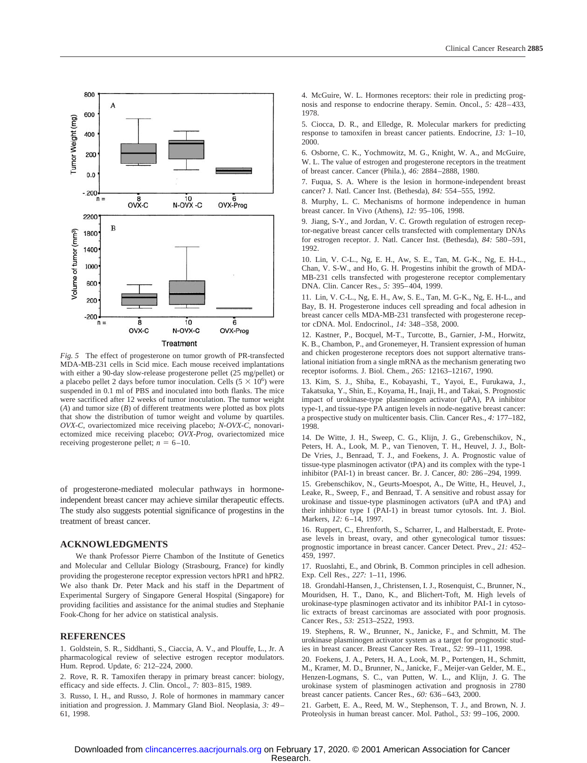

*Fig. 5* The effect of progesterone on tumor growth of PR-transfected MDA-MB-231 cells in Scid mice. Each mouse received implantations with either a 90-day slow-release progesterone pellet (25 mg/pellet) or a placebo pellet 2 days before tumor inoculation. Cells  $(5 \times 10^6)$  were suspended in 0.1 ml of PBS and inoculated into both flanks. The mice were sacrificed after 12 weeks of tumor inoculation. The tumor weight (*A*) and tumor size (*B*) of different treatments were plotted as box plots that show the distribution of tumor weight and volume by quartiles. *OVX-C*, ovariectomized mice receiving placebo; *N-OVX-C*, nonovariectomized mice receiving placebo; *OVX-Prog*, ovariectomized mice receiving progesterone pellet;  $n = 6-10$ .

of progesterone-mediated molecular pathways in hormoneindependent breast cancer may achieve similar therapeutic effects. The study also suggests potential significance of progestins in the treatment of breast cancer.

#### **ACKNOWLEDGMENTS**

We thank Professor Pierre Chambon of the Institute of Genetics and Molecular and Cellular Biology (Strasbourg, France) for kindly providing the progesterone receptor expression vectors hPR1 and hPR2. We also thank Dr. Peter Mack and his staff in the Department of Experimental Surgery of Singapore General Hospital (Singapore) for providing facilities and assistance for the animal studies and Stephanie Fook-Chong for her advice on statistical analysis.

#### **REFERENCES**

1. Goldstein, S. R., Siddhanti, S., Ciaccia, A. V., and Plouffe, L., Jr. A pharmacological review of selective estrogen receptor modulators. Hum. Reprod. Update, *6:* 212–224, 2000.

2. Rove, R. R. Tamoxifen therapy in primary breast cancer: biology, efficacy and side effects. J. Clin. Oncol., *7:* 803–815, 1989.

3. Russo, I. H., and Russo, J. Role of hormones in mammary cancer initiation and progression. J. Mammary Gland Biol. Neoplasia, *3:* 49– 61, 1998.

4. McGuire, W. L. Hormones receptors: their role in predicting prognosis and response to endocrine therapy. Semin. Oncol., *5:* 428–433, 1978.

5. Ciocca, D. R., and Elledge, R. Molecular markers for predicting response to tamoxifen in breast cancer patients. Endocrine, *13:* 1–10, 2000.

6. Osborne, C. K., Yochmowitz, M. G., Knight, W. A., and McGuire, W. L. The value of estrogen and progesterone receptors in the treatment of breast cancer. Cancer (Phila.), *46:* 2884–2888, 1980.

7. Fuqua, S. A. Where is the lesion in hormone-independent breast cancer? J. Natl. Cancer Inst. (Bethesda), *84:* 554–555, 1992.

8. Murphy, L. C. Mechanisms of hormone independence in human breast cancer. In Vivo (Athens), *12:* 95–106, 1998.

9. Jiang, S-Y., and Jordan, V. C. Growth regulation of estrogen receptor-negative breast cancer cells transfected with complementary DNAs for estrogen receptor. J. Natl. Cancer Inst. (Bethesda), *84:* 580–591, 1992.

10. Lin, V. C-L., Ng, E. H., Aw, S. E., Tan, M. G-K., Ng, E. H-L., Chan, V. S-W., and Ho, G. H. Progestins inhibit the growth of MDA-MB-231 cells transfected with progesterone receptor complementary DNA. Clin. Cancer Res., *5:* 395–404, 1999.

11. Lin, V. C-L., Ng, E. H., Aw, S. E., Tan, M. G-K., Ng, E. H-L., and Bay, B. H. Progesterone induces cell spreading and focal adhesion in breast cancer cells MDA-MB-231 transfected with progesterone receptor cDNA. Mol. Endocrinol., *14:* 348–358, 2000.

12. Kastner, P., Bocquel, M-T., Turcotte, B., Garnier, J-M., Horwitz, K. B., Chambon, P., and Gronemeyer, H. Transient expression of human and chicken progesterone receptors does not support alternative translational initiation from a single mRNA as the mechanism generating two receptor isoforms. J. Biol. Chem., *265:* 12163–12167, 1990.

13. Kim, S. J., Shiba, E., Kobayashi, T., Yayoi, E., Furukawa, J., Takatsuka, Y., Shin, E., Koyama, H., Inaji, H., and Takai, S. Prognostic impact of urokinase-type plasminogen activator (uPA), PA inhibitor type-1, and tissue-type PA antigen levels in node-negative breast cancer: a prospective study on multicenter basis. Clin. Cancer Res., *4:* 177–182, 1998.

14. De Witte, J. H., Sweep, C. G., Klijn, J. G., Grebenschikov, N., Peters, H. A., Look, M. P., van Tienoven, T. H., Heuvel, J. J., Bolt-De Vries, J., Benraad, T. J., and Foekens, J. A. Prognostic value of tissue-type plasminogen activator (tPA) and its complex with the type-1 inhibitor (PAI-1) in breast cancer. Br. J. Cancer, *80:* 286–294, 1999.

15. Grebenschikov, N., Geurts-Moespot, A., De Witte, H., Heuvel, J., Leake, R., Sweep, F., and Benraad, T. A sensitive and robust assay for urokinase and tissue-type plasminogen activators (uPA and tPA) and their inhibitor type I (PAI-1) in breast tumor cytosols. Int. J. Biol. Markers, *12:* 6–14, 1997.

16. Ruppert, C., Ehrenforth, S., Scharrer, I., and Halberstadt, E. Protease levels in breast, ovary, and other gynecological tumor tissues: prognostic importance in breast cancer. Cancer Detect. Prev., *21:* 452– 459, 1997.

17. Ruoslahti, E., and Obrink, B. Common principles in cell adhesion. Exp. Cell Res., *227:* 1–11, 1996.

18. Grondahl-Hansen, J., Christensen, I. J., Rosenquist, C., Brunner, N., Mouridsen, H. T., Dano, K., and Blichert-Toft, M. High levels of urokinase-type plasminogen activator and its inhibitor PAI-1 in cytosolic extracts of breast carcinomas are associated with poor prognosis. Cancer Res., *53:* 2513–2522, 1993.

19. Stephens, R. W., Brunner, N., Janicke, F., and Schmitt, M. The urokinase plasminogen activator system as a target for prognostic studies in breast cancer. Breast Cancer Res. Treat., *52:* 99–111, 1998.

20. Foekens, J. A., Peters, H. A., Look, M. P., Portengen, H., Schmitt, M., Kramer, M. D., Brunner, N., Janicke, F., Meijer-van Gelder, M. E., Henzen-Logmans, S. C., van Putten, W. L., and Klijn, J. G. The urokinase system of plasminogen activation and prognosis in 2780 breast cancer patients. Cancer Res., *60:* 636–643, 2000.

21. Garbett, E. A., Reed, M. W., Stephenson, T. J., and Brown, N. J. Proteolysis in human breast cancer. Mol. Pathol., *53:* 99–106, 2000.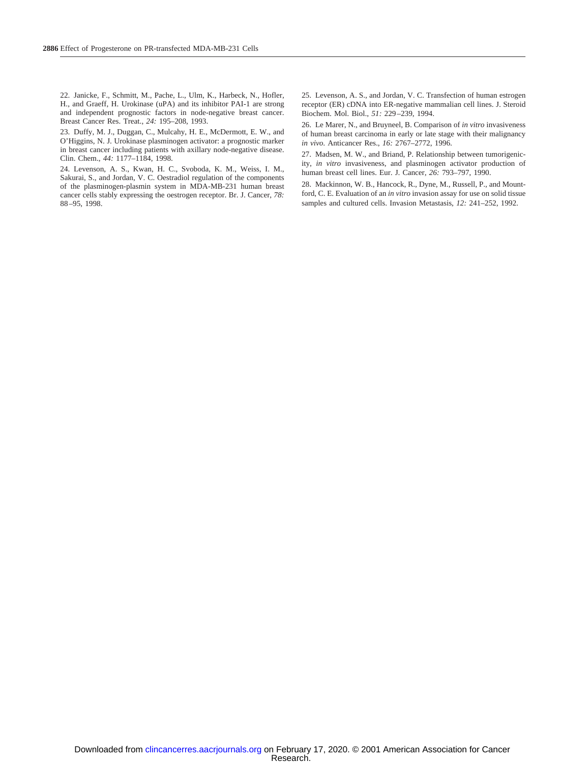22. Janicke, F., Schmitt, M., Pache, L., Ulm, K., Harbeck, N., Hofler, H., and Graeff, H. Urokinase (uPA) and its inhibitor PAI-1 are strong and independent prognostic factors in node-negative breast cancer. Breast Cancer Res. Treat., *24:* 195–208, 1993.

23. Duffy, M. J., Duggan, C., Mulcahy, H. E., McDermott, E. W., and O'Higgins, N. J. Urokinase plasminogen activator: a prognostic marker in breast cancer including patients with axillary node-negative disease. Clin. Chem., *44:* 1177–1184, 1998.

24. Levenson, A. S., Kwan, H. C., Svoboda, K. M., Weiss, I. M., Sakurai, S., and Jordan, V. C. Oestradiol regulation of the components of the plasminogen-plasmin system in MDA-MB-231 human breast cancer cells stably expressing the oestrogen receptor. Br. J. Cancer, *78:* 88–95, 1998.

25. Levenson, A. S., and Jordan, V. C. Transfection of human estrogen receptor (ER) cDNA into ER-negative mammalian cell lines. J. Steroid Biochem. Mol. Biol., *51:* 229–239, 1994.

26. Le Marer, N., and Bruyneel, B. Comparison of *in vitro* invasiveness of human breast carcinoma in early or late stage with their malignancy *in vivo*. Anticancer Res., *16:* 2767–2772, 1996.

27. Madsen, M. W., and Briand, P. Relationship between tumorigenicity, *in vitro* invasiveness, and plasminogen activator production of human breast cell lines. Eur. J. Cancer, *26:* 793–797, 1990.

28. Mackinnon, W. B., Hancock, R., Dyne, M., Russell, P., and Mountford, C. E. Evaluation of an *in vitro* invasion assay for use on solid tissue samples and cultured cells. Invasion Metastasis, *12:* 241–252, 1992.